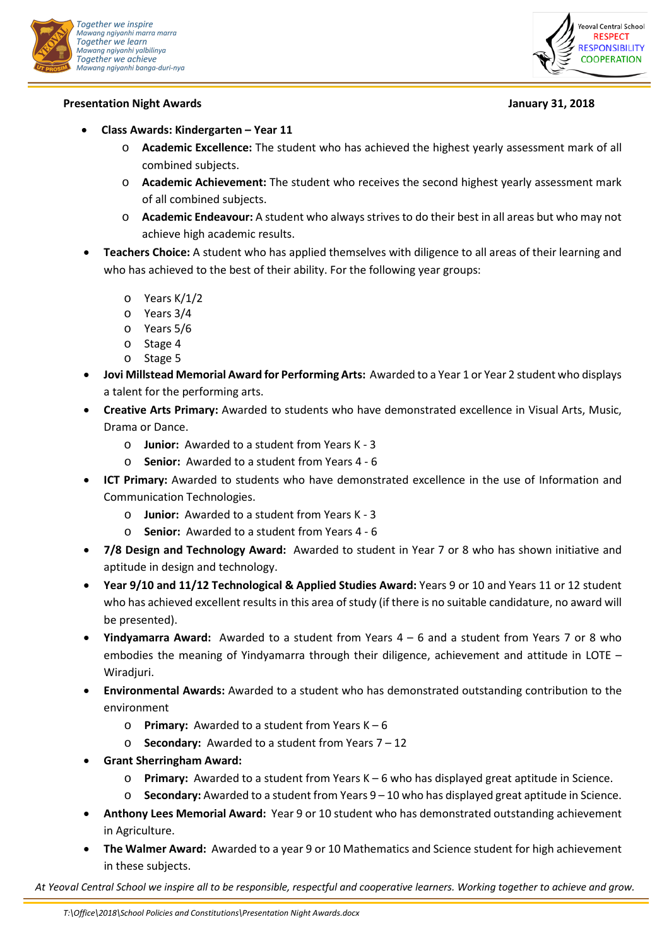

## **Presentation Night Awards January 31, 2018**



- **Class Awards: Kindergarten Year 11**
	- o **Academic Excellence:** The student who has achieved the highest yearly assessment mark of all combined subjects.
	- o **Academic Achievement:** The student who receives the second highest yearly assessment mark of all combined subjects.
	- o **Academic Endeavour:** A student who always strives to do their best in all areas but who may not achieve high academic results.
- **Teachers Choice:** A student who has applied themselves with diligence to all areas of their learning and who has achieved to the best of their ability. For the following year groups:
	- o Years K/1/2
	- o Years 3/4
	- o Years 5/6
	- o Stage 4
	- o Stage 5
- **Jovi Millstead Memorial Award for Performing Arts:** Awarded to a Year 1 or Year 2 student who displays a talent for the performing arts.
- **Creative Arts Primary:** Awarded to students who have demonstrated excellence in Visual Arts, Music, Drama or Dance.
	- o **Junior:** Awarded to a student from Years K 3
	- o **Senior:** Awarded to a student from Years 4 6
- **ICT Primary:** Awarded to students who have demonstrated excellence in the use of Information and Communication Technologies.
	- o **Junior:** Awarded to a student from Years K 3
	- o **Senior:** Awarded to a student from Years 4 6
- **7/8 Design and Technology Award:** Awarded to student in Year 7 or 8 who has shown initiative and aptitude in design and technology.
- **Year 9/10 and 11/12 Technological & Applied Studies Award:** Years 9 or 10 and Years 11 or 12 student who has achieved excellent results in this area of study (if there is no suitable candidature, no award will be presented).
- **Yindyamarra Award:** Awarded to a student from Years 4 6 and a student from Years 7 or 8 who embodies the meaning of Yindyamarra through their diligence, achievement and attitude in LOTE – Wiradjuri.
- **Environmental Awards:** Awarded to a student who has demonstrated outstanding contribution to the environment
	- o **Primary:** Awarded to a student from Years K 6
	- o **Secondary:** Awarded to a student from Years 7 12
- **Grant Sherringham Award:**
	- o **Primary:** Awarded to a student from Years K 6 who has displayed great aptitude in Science.
	- o **Secondary:** Awarded to a student from Years 9 10 who has displayed great aptitude in Science.
- **Anthony Lees Memorial Award:** Year 9 or 10 student who has demonstrated outstanding achievement in Agriculture.
- **The Walmer Award:** Awarded to a year 9 or 10 Mathematics and Science student for high achievement in these subjects.

*At Yeoval Central School we inspire all to be responsible, respectful and cooperative learners. Working together to achieve and grow.*